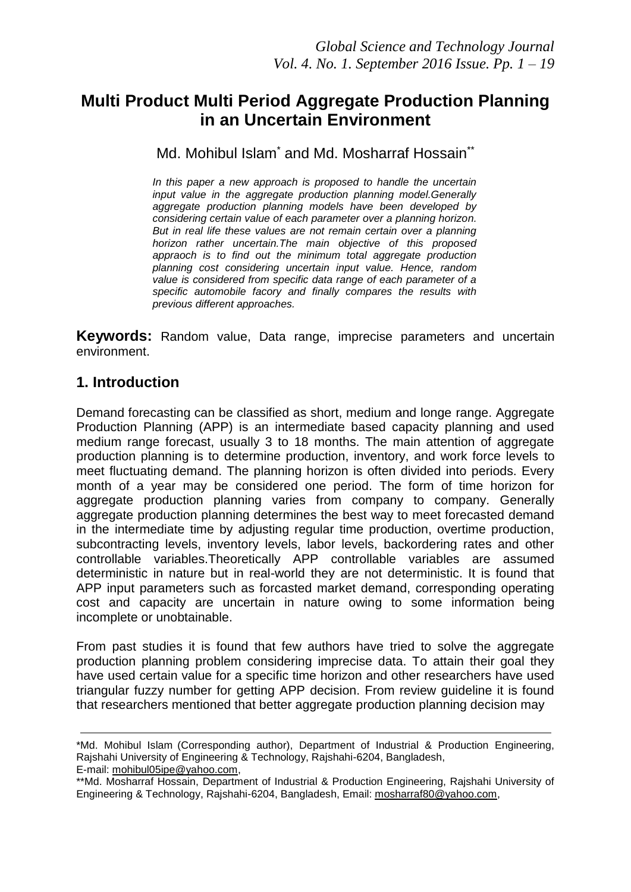# **Multi Product Multi Period Aggregate Production Planning in an Uncertain Environment**

### Md. Mohibul Islam<sup>\*</sup> and Md. Mosharraf Hossain<sup>\*\*</sup>

*In this paper a new approach is proposed to handle the uncertain input value in the aggregate production planning model.Generally aggregate production planning models have been developed by considering certain value of each parameter over a planning horizon. But in real life these values are not remain certain over a planning horizon rather uncertain.The main objective of this proposed appraoch is to find out the minimum total aggregate production planning cost considering uncertain input value. Hence, random value is considered from specific data range of each parameter of a specific automobile facory and finally compares the results with previous different approaches.*

**Keywords:** Random value, Data range, imprecise parameters and uncertain environment.

### **1. Introduction**

Demand forecasting can be classified as short, medium and longe range. Aggregate Production Planning (APP) is an intermediate based capacity planning and used medium range forecast, usually 3 to 18 months. The main attention of aggregate production planning is to determine production, inventory, and work force levels to meet fluctuating demand. The planning horizon is often divided into periods. Every month of a year may be considered one period. The form of time horizon for aggregate production planning varies from company to company. Generally aggregate production planning determines the best way to meet forecasted demand in the intermediate time by adjusting regular time production, overtime production, subcontracting levels, inventory levels, labor levels, backordering rates and other controllable variables.Theoretically APP controllable variables are assumed deterministic in nature but in real-world they are not deterministic. It is found that APP input parameters such as forcasted market demand, corresponding operating cost and capacity are uncertain in nature owing to some information being incomplete or unobtainable.

From past studies it is found that few authors have tried to solve the aggregate production planning problem considering imprecise data. To attain their goal they have used certain value for a specific time horizon and other researchers have used triangular fuzzy number for getting APP decision. From review guideline it is found that researchers mentioned that better aggregate production planning decision may

<sup>\*</sup>Md. Mohibul Islam (Corresponding author), Department of Industrial & Production Engineering, Rajshahi University of Engineering & Technology, Rajshahi-6204, Bangladesh, E-mail: [mohibul05ipe@yahoo.com,](mailto:mohibul05ipe@yahoo.com)

<sup>\*\*</sup>Md. Mosharraf Hossain, Department of Industrial & Production Engineering, Rajshahi University of Engineering & Technology, Rajshahi-6204, Bangladesh, Email: [mosharraf80@yahoo.com,](mailto:mosharraf80@yahoo.com)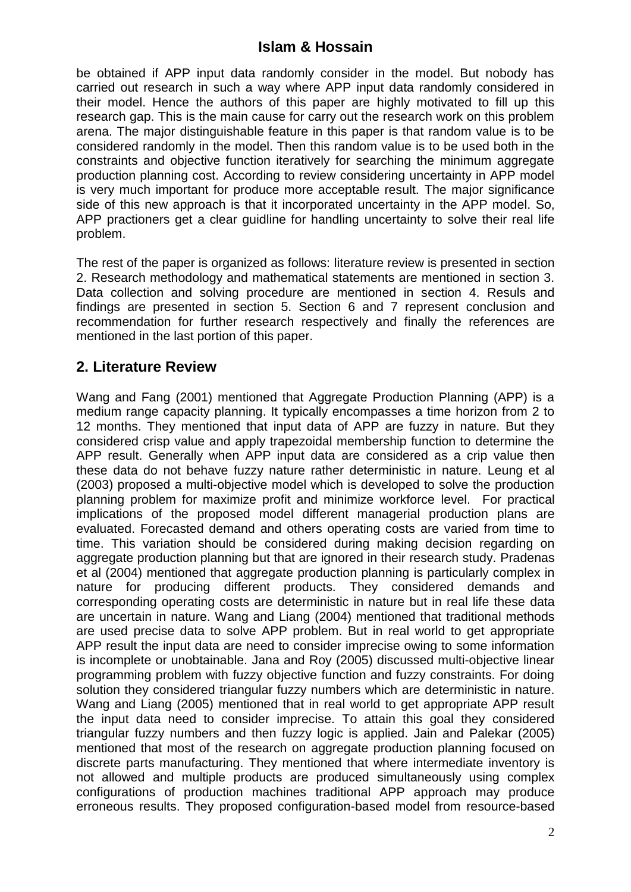be obtained if APP input data randomly consider in the model. But nobody has carried out research in such a way where APP input data randomly considered in their model. Hence the authors of this paper are highly motivated to fill up this research gap. This is the main cause for carry out the research work on this problem arena. The major distinguishable feature in this paper is that random value is to be considered randomly in the model. Then this random value is to be used both in the constraints and objective function iteratively for searching the minimum aggregate production planning cost. According to review considering uncertainty in APP model is very much important for produce more acceptable result. The major significance side of this new approach is that it incorporated uncertainty in the APP model. So, APP practioners get a clear guidline for handling uncertainty to solve their real life problem.

The rest of the paper is organized as follows: literature review is presented in section 2. Research methodology and mathematical statements are mentioned in section 3. Data collection and solving procedure are mentioned in section 4. Resuls and findings are presented in section 5. Section 6 and 7 represent conclusion and recommendation for further research respectively and finally the references are mentioned in the last portion of this paper.

## **2. Literature Review**

Wang and Fang (2001) mentioned that Aggregate Production Planning (APP) is a medium range capacity planning. It typically encompasses a time horizon from 2 to 12 months. They mentioned that input data of APP are fuzzy in nature. But they considered crisp value and apply trapezoidal membership function to determine the APP result. Generally when APP input data are considered as a crip value then these data do not behave fuzzy nature rather deterministic in nature. Leung et al (2003) proposed a multi-objective model which is developed to solve the production planning problem for maximize profit and minimize workforce level. For practical implications of the proposed model different managerial production plans are evaluated. Forecasted demand and others operating costs are varied from time to time. This variation should be considered during making decision regarding on aggregate production planning but that are ignored in their research study. Pradenas et al (2004) mentioned that aggregate production planning is particularly complex in nature for producing different products. They considered demands and corresponding operating costs are deterministic in nature but in real life these data are uncertain in nature. Wang and Liang (2004) mentioned that traditional methods are used precise data to solve APP problem. But in real world to get appropriate APP result the input data are need to consider imprecise owing to some information is incomplete or unobtainable. Jana and Roy (2005) discussed multi-objective linear programming problem with fuzzy objective function and fuzzy constraints. For doing solution they considered triangular fuzzy numbers which are deterministic in nature. Wang and Liang (2005) mentioned that in real world to get appropriate APP result the input data need to consider imprecise. To attain this goal they considered triangular fuzzy numbers and then fuzzy logic is applied. Jain and Palekar (2005) mentioned that most of the research on aggregate production planning focused on discrete parts manufacturing. They mentioned that where intermediate inventory is not allowed and multiple products are produced simultaneously using complex configurations of production machines traditional APP approach may produce erroneous results. They proposed configuration-based model from resource-based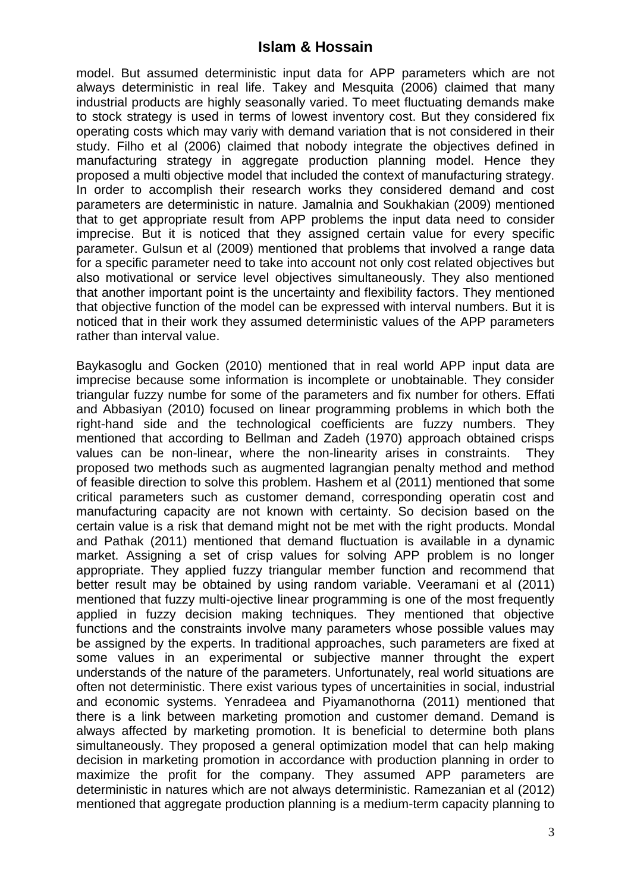model. But assumed deterministic input data for APP parameters which are not always deterministic in real life. Takey and Mesquita (2006) claimed that many industrial products are highly seasonally varied. To meet fluctuating demands make to stock strategy is used in terms of lowest inventory cost. But they considered fix operating costs which may variy with demand variation that is not considered in their study. Filho et al (2006) claimed that nobody integrate the objectives defined in manufacturing strategy in aggregate production planning model. Hence they proposed a multi objective model that included the context of manufacturing strategy. In order to accomplish their research works they considered demand and cost parameters are deterministic in nature. Jamalnia and Soukhakian (2009) mentioned that to get appropriate result from APP problems the input data need to consider imprecise. But it is noticed that they assigned certain value for every specific parameter. Gulsun et al (2009) mentioned that problems that involved a range data for a specific parameter need to take into account not only cost related objectives but also motivational or service level objectives simultaneously. They also mentioned that another important point is the uncertainty and flexibility factors. They mentioned that objective function of the model can be expressed with interval numbers. But it is noticed that in their work they assumed deterministic values of the APP parameters rather than interval value.

Baykasoglu and Gocken (2010) mentioned that in real world APP input data are imprecise because some information is incomplete or unobtainable. They consider triangular fuzzy numbe for some of the parameters and fix number for others. Effati and Abbasiyan (2010) focused on linear programming problems in which both the right-hand side and the technological coefficients are fuzzy numbers. They mentioned that according to Bellman and Zadeh (1970) approach obtained crisps values can be non-linear, where the non-linearity arises in constraints. They proposed two methods such as augmented lagrangian penalty method and method of feasible direction to solve this problem. Hashem et al (2011) mentioned that some critical parameters such as customer demand, corresponding operatin cost and manufacturing capacity are not known with certainty. So decision based on the certain value is a risk that demand might not be met with the right products. Mondal and Pathak (2011) mentioned that demand fluctuation is available in a dynamic market. Assigning a set of crisp values for solving APP problem is no longer appropriate. They applied fuzzy triangular member function and recommend that better result may be obtained by using random variable. Veeramani et al (2011) mentioned that fuzzy multi-ojective linear programming is one of the most frequently applied in fuzzy decision making techniques. They mentioned that objective functions and the constraints involve many parameters whose possible values may be assigned by the experts. In traditional approaches, such parameters are fixed at some values in an experimental or subjective manner throught the expert understands of the nature of the parameters. Unfortunately, real world situations are often not deterministic. There exist various types of uncertainities in social, industrial and economic systems. Yenradeea and Piyamanothorna (2011) mentioned that there is a link between marketing promotion and customer demand. Demand is always affected by marketing promotion. It is beneficial to determine both plans simultaneously. They proposed a general optimization model that can help making decision in marketing promotion in accordance with production planning in order to maximize the profit for the company. They assumed APP parameters are deterministic in natures which are not always deterministic. Ramezanian et al (2012) mentioned that aggregate production planning is a medium-term capacity planning to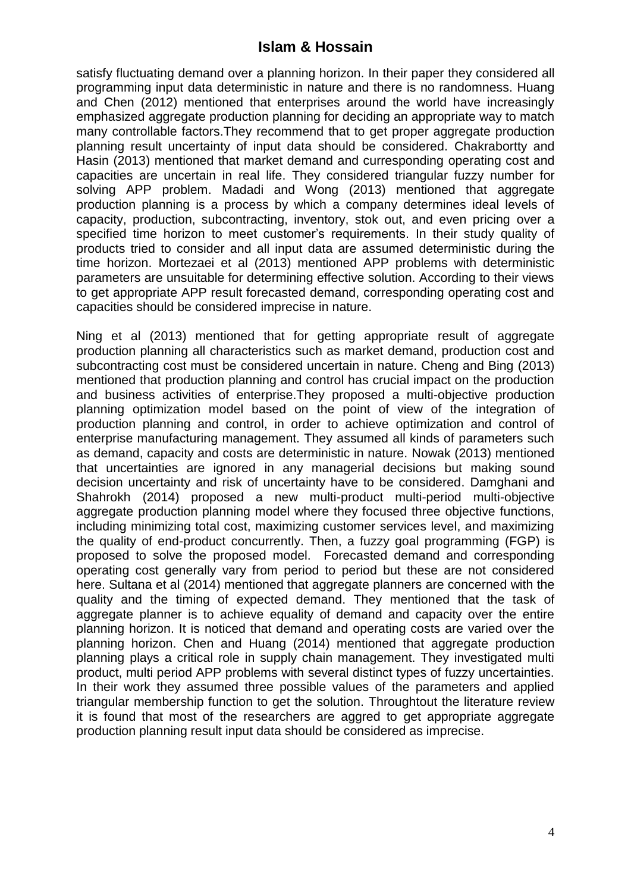satisfy fluctuating demand over a planning horizon. In their paper they considered all programming input data deterministic in nature and there is no randomness. Huang and Chen (2012) mentioned that enterprises around the world have increasingly emphasized aggregate production planning for deciding an appropriate way to match many controllable factors.They recommend that to get proper aggregate production planning result uncertainty of input data should be considered. Chakrabortty and Hasin (2013) mentioned that market demand and curresponding operating cost and capacities are uncertain in real life. They considered triangular fuzzy number for solving APP problem. Madadi and Wong (2013) mentioned that aggregate production planning is a process by which a company determines ideal levels of capacity, production, subcontracting, inventory, stok out, and even pricing over a specified time horizon to meet customer's requirements. In their study quality of products tried to consider and all input data are assumed deterministic during the time horizon. Mortezaei et al (2013) mentioned APP problems with deterministic parameters are unsuitable for determining effective solution. According to their views to get appropriate APP result forecasted demand, corresponding operating cost and capacities should be considered imprecise in nature.

Ning et al (2013) mentioned that for getting appropriate result of aggregate production planning all characteristics such as market demand, production cost and subcontracting cost must be considered uncertain in nature. Cheng and Bing (2013) mentioned that production planning and control has crucial impact on the production and business activities of enterprise.They proposed a multi-objective production planning optimization model based on the point of view of the integration of production planning and control, in order to achieve optimization and control of enterprise manufacturing management. They assumed all kinds of parameters such as demand, capacity and costs are deterministic in nature. Nowak (2013) mentioned that uncertainties are ignored in any managerial decisions but making sound decision uncertainty and risk of uncertainty have to be considered. Damghani and Shahrokh (2014) proposed a new multi-product multi-period multi-objective aggregate production planning model where they focused three objective functions, including minimizing total cost, maximizing customer services level, and maximizing the quality of end-product concurrently. Then, a fuzzy goal programming (FGP) is proposed to solve the proposed model. Forecasted demand and corresponding operating cost generally vary from period to period but these are not considered here. Sultana et al (2014) mentioned that aggregate planners are concerned with the quality and the timing of expected demand. They mentioned that the task of aggregate planner is to achieve equality of demand and capacity over the entire planning horizon. It is noticed that demand and operating costs are varied over the planning horizon. Chen and Huang (2014) mentioned that aggregate production planning plays a critical role in supply chain management. They investigated multi product, multi period APP problems with several distinct types of fuzzy uncertainties. In their work they assumed three possible values of the parameters and applied triangular membership function to get the solution. Throughtout the literature review it is found that most of the researchers are aggred to get appropriate aggregate production planning result input data should be considered as imprecise.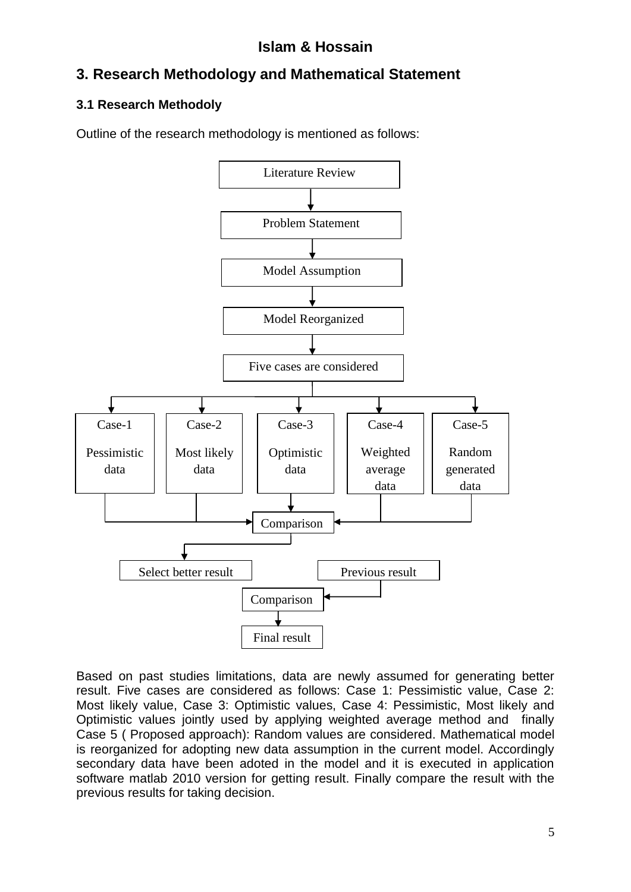# **3. Research Methodology and Mathematical Statement**

## **3.1 Research Methodoly**

Outline of the research methodology is mentioned as follows:



Based on past studies limitations, data are newly assumed for generating better result. Five cases are considered as follows: Case 1: Pessimistic value, Case 2: Most likely value, Case 3: Optimistic values, Case 4: Pessimistic, Most likely and Optimistic values jointly used by applying weighted average method and finally Case 5 ( Proposed approach): Random values are considered. Mathematical model is reorganized for adopting new data assumption in the current model. Accordingly secondary data have been adoted in the model and it is executed in application software matlab 2010 version for getting result. Finally compare the result with the previous results for taking decision.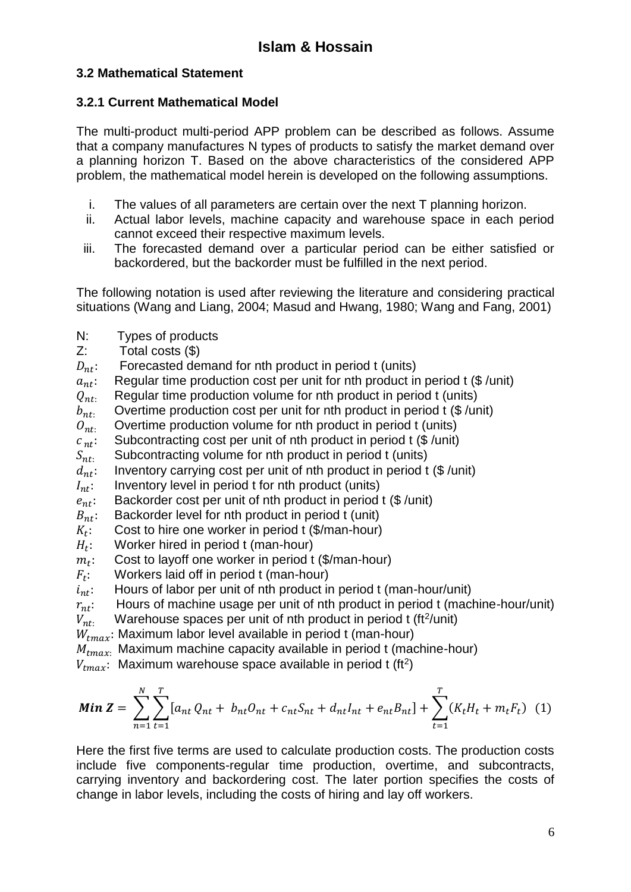### **3.2 Mathematical Statement**

### **3.2.1 Current Mathematical Model**

The multi-product multi-period APP problem can be described as follows. Assume that a company manufactures N types of products to satisfy the market demand over a planning horizon T. Based on the above characteristics of the considered APP problem, the mathematical model herein is developed on the following assumptions.

- i. The values of all parameters are certain over the next T planning horizon.
- ii. Actual labor levels, machine capacity and warehouse space in each period cannot exceed their respective maximum levels.
- iii. The forecasted demand over a particular period can be either satisfied or backordered, but the backorder must be fulfilled in the next period.

The following notation is used after reviewing the literature and considering practical situations (Wang and Liang, 2004; Masud and Hwang, 1980; Wang and Fang, 2001)

- N: Types of products
- Z: Total costs (\$)
- $D_{nt}$ : Forecasted demand for nth product in period t (units)
- $a_{nt}$ : Regular time production cost per unit for nth product in period t (\$/unit)
- $Q_{nt}$ . Regular time production volume for nth product in period t (units)
- $b_{nt}$ : Overtime production cost per unit for nth product in period t (\$/unit)
- $\mathcal{O}_{nt}$ . Overtime production volume for nth product in period t (units)
- $c_{nt}$ : Subcontracting cost per unit of nth product in period t (\$/unit)
- 
- $S_{nt}$ : Subcontracting volume for nth product in period t (units)  $d_{nt}$ : Inventory carrying cost per unit of nth product in period t : Inventory carrying cost per unit of nth product in period t (\$ /unit)
- $I_{nt}$ : Inventory level in period t for nth product (units)
- $e_{nt}$ : Backorder cost per unit of nth product in period t (\$/unit)
- $B_{nt}$ : Backorder level for nth product in period t (unit)
- $K_t$ : Cost to hire one worker in period t (\$/man-hour)
- $H_t$ : : Worker hired in period t (man-hour)
- $m_t$ : : Cost to layoff one worker in period t (\$/man-hour)
- $F_t$ : : Workers laid off in period t (man-hour)
- $i_{nt}$ : Hours of labor per unit of nth product in period t (man-hour/unit)
- $r_{nt}$ : Hours of machine usage per unit of nth product in period t (machine-hour/unit)<br> $V_{nt}$ . Warehouse spaces per unit of nth product in period t (ft<sup>2</sup>/unit)
- $V_{nt}$ : Warehouse spaces per unit of nth product in period t (ft<sup>2</sup>/unit)
- $W_{tmax}$ : Maximum labor level available in period t (man-hour)
- $M_{tmax}$ . Maximum machine capacity available in period t (machine-hour)
- $V_{tmax}$ : Maximum warehouse space available in period t (ft<sup>2</sup>)

$$
Min Z = \sum_{n=1}^{N} \sum_{t=1}^{T} [a_{nt} Q_{nt} + b_{nt} O_{nt} + c_{nt} S_{nt} + d_{nt} I_{nt} + e_{nt} B_{nt}] + \sum_{t=1}^{T} (K_t H_t + m_t F_t) (1)
$$

Here the first five terms are used to calculate production costs. The production costs include five components-regular time production, overtime, and subcontracts, carrying inventory and backordering cost. The later portion specifies the costs of change in labor levels, including the costs of hiring and lay off workers.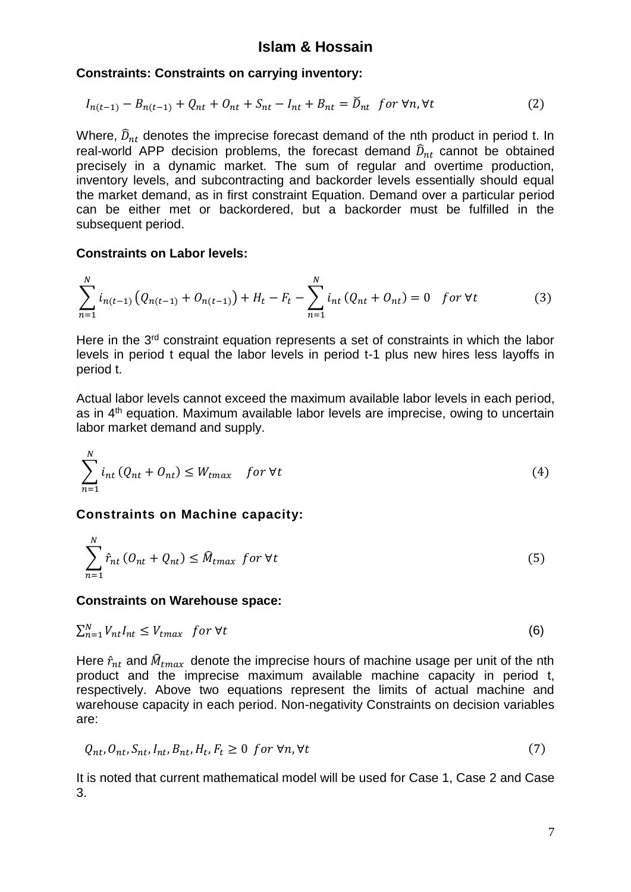#### **Constraints: Constraints on carrying inventory:**

$$
I_{n(t-1)} - B_{n(t-1)} + Q_{nt} + O_{nt} + S_{nt} - I_{nt} + B_{nt} = \check{D}_{nt} \text{ for } \forall n, \forall t
$$
 (2)

Where,  $\widehat{D}_{nt}$  denotes the imprecise forecast demand of the nth product in period t. In real-world APP decision problems, the forecast demand  $\widehat{D}_{nt}$  cannot be obtained precisely in a dynamic market. The sum of regular and overtime production, inventory levels, and subcontracting and backorder levels essentially should equal the market demand, as in first constraint Equation. Demand over a particular period can be either met or backordered, but a backorder must be fulfilled in the subsequent period.

#### **Constraints on Labor levels:**

$$
\sum_{n=1}^{N} i_{n(t-1)} (Q_{n(t-1)} + O_{n(t-1)}) + H_t - F_t - \sum_{n=1}^{N} i_{nt} (Q_{nt} + O_{nt}) = 0 \quad \text{for } \forall t \tag{3}
$$

Here in the 3<sup>rd</sup> constraint equation represents a set of constraints in which the labor levels in period t equal the labor levels in period t-1 plus new hires less layoffs in period t.

Actual labor levels cannot exceed the maximum available labor levels in each period, as in 4<sup>th</sup> equation. Maximum available labor levels are imprecise, owing to uncertain labor market demand and supply.

$$
\sum_{n=1}^{N} i_{nt} (Q_{nt} + O_{nt}) \le W_{tmax} \quad \text{for } \forall t \tag{4}
$$

#### **Constraints on Machine capacity:**

$$
\sum_{n=1}^{N} \hat{r}_{nt} \left( O_{nt} + Q_{nt} \right) \leq \hat{M}_{tmax} \text{ for } \forall t \tag{5}
$$

#### **Constraints on Warehouse space:**

$$
\sum_{n=1}^{N} V_{nt} I_{nt} \leq V_{tmax} \quad \text{for } \forall t \tag{6}
$$

Here  $\hat{r}_{nt}$  and  $\hat{M}_{tmax}$  denote the imprecise hours of machine usage per unit of the nth product and the imprecise maximum available machine capacity in period t, respectively. Above two equations represent the limits of actual machine and warehouse capacity in each period. Non-negativity Constraints on decision variables are:

$$
Q_{nt}, O_{nt}, S_{nt}, I_{nt}, B_{nt}, H_t, F_t \ge 0 \text{ for } \forall n, \forall t
$$
\n
$$
(7)
$$

It is noted that current mathematical model will be used for Case 1, Case 2 and Case 3.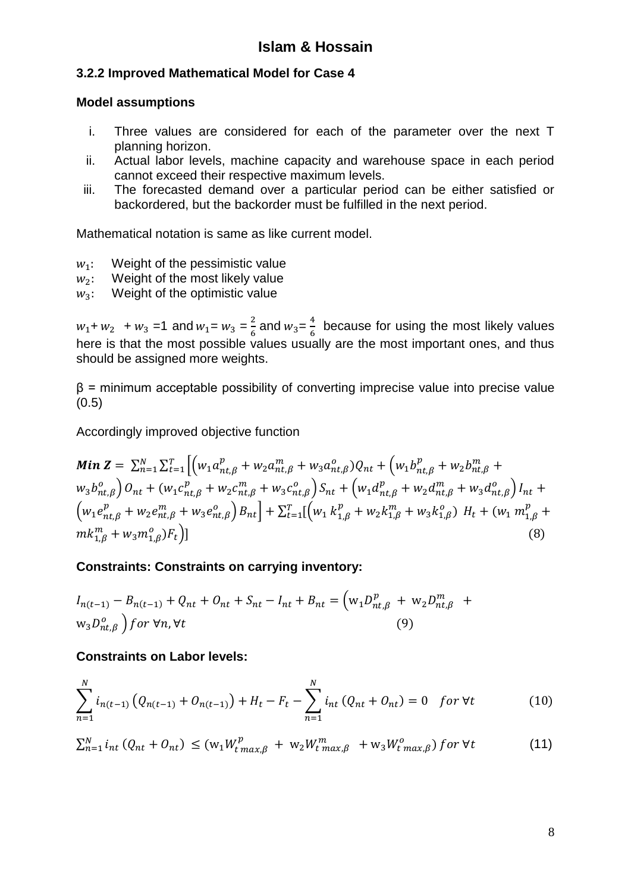### **3.2.2 Improved Mathematical Model for Case 4**

#### **Model assumptions**

- i. Three values are considered for each of the parameter over the next T planning horizon.
- ii. Actual labor levels, machine capacity and warehouse space in each period cannot exceed their respective maximum levels.
- iii. The forecasted demand over a particular period can be either satisfied or backordered, but the backorder must be fulfilled in the next period.

Mathematical notation is same as like current model.

- $w_1$ : Weight of the pessimistic value
- $w_2$ : Weight of the most likely value
- $w_3$ : Weight of the optimistic value

 $w_1$ +  $w_2$  +  $w_3$  =1 and  $w_1 = w_3 = \frac{2}{6}$  $\frac{2}{6}$  and  $w_3 = \frac{4}{6}$  $\frac{4}{6}$  because for using the most likely values here is that the most possible values usually are the most important ones, and thus should be assigned more weights.

 $\beta$  = minimum acceptable possibility of converting imprecise value into precise value  $(0.5)$ 

Accordingly improved objective function

$$
\mathbf{Min}\mathbf{Z} = \sum_{n=1}^{N} \sum_{t=1}^{T} \left[ \left( w_1 a_{nt,\beta}^p + w_2 a_{nt,\beta}^m + w_3 a_{nt,\beta}^o \right) Q_{nt} + \left( w_1 b_{nt,\beta}^p + w_2 b_{nt,\beta}^m + w_3 b_{nt,\beta}^o \right) Q_{nt} + \left( w_1 c_{nt,\beta}^p + w_2 c_{nt,\beta}^m + w_3 c_{nt,\beta}^o \right) S_{nt} + \left( w_1 d_{nt,\beta}^p + w_2 d_{nt,\beta}^m + w_3 d_{nt,\beta}^o \right) I_{nt} + \left( w_1 e_{nt,\beta}^p + w_2 e_{nt,\beta}^m + w_3 e_{nt,\beta}^o \right) B_{nt} \right] + \sum_{t=1}^{T} \left[ \left( w_1 k_{1,\beta}^p + w_2 k_{1,\beta}^m + w_3 k_{1,\beta}^o \right) H_t + \left( w_1 m_{1,\beta}^p + m k_{1,\beta}^m + w_3 m_{1,\beta}^o \right) F_t \right] \tag{8}
$$

### **Constraints: Constraints on carrying inventory:**

$$
I_{n(t-1)} - B_{n(t-1)} + Q_{nt} + O_{nt} + S_{nt} - I_{nt} + B_{nt} = (w_1 D_{nt,\beta}^p + w_2 D_{nt,\beta}^m + w_3 D_{nt,\beta}^o) \tag{9}
$$

#### **Constraints on Labor levels:**

$$
\sum_{n=1}^{N} i_{n(t-1)} (Q_{n(t-1)} + O_{n(t-1)}) + H_t - F_t - \sum_{n=1}^{N} i_{nt} (Q_{nt} + O_{nt}) = 0 \quad \text{for } \forall t \tag{10}
$$

$$
\sum_{n=1}^{N} i_{nt} \left( Q_{nt} + O_{nt} \right) \leq \left( w_1 W_{t \max, \beta}^p + w_2 W_{t \max, \beta}^m + w_3 W_{t \max, \beta}^o \right) \text{ for } \forall t \tag{11}
$$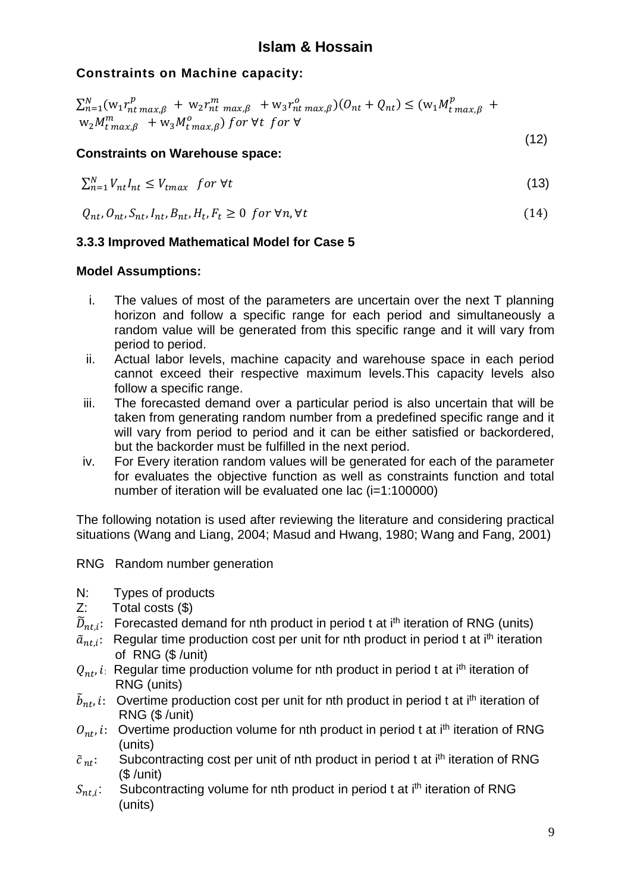## **Constraints on Machine capacity:**

$$
\sum_{n=1}^{N} (w_1 r_{nt\ max,\beta}^p + w_2 r_{nt\ max,\beta}^m + w_3 r_{nt\ max,\beta}^o)(0_{nt} + Q_{nt}) \le (w_1 M_{t\ max,\beta}^p + w_2 M_{t\ max,\beta}^m + w_3 M_{t\ max,\beta}^o)
$$

#### (12) **Constraints on Warehouse space:**

$$
\sum_{n=1}^{N} V_{nt} I_{nt} \leq V_{tmax} \quad \text{for } \forall t \tag{13}
$$

$$
Q_{nt}, O_{nt}, S_{nt}, I_{nt}, B_{nt}, H_t, F_t \ge 0 \text{ for } \forall n, \forall t
$$
\n
$$
(14)
$$

### **3.3.3 Improved Mathematical Model for Case 5**

### **Model Assumptions:**

- i. The values of most of the parameters are uncertain over the next T planning horizon and follow a specific range for each period and simultaneously a random value will be generated from this specific range and it will vary from period to period.
- ii. Actual labor levels, machine capacity and warehouse space in each period cannot exceed their respective maximum levels.This capacity levels also follow a specific range.
- iii. The forecasted demand over a particular period is also uncertain that will be taken from generating random number from a predefined specific range and it will vary from period to period and it can be either satisfied or backordered, but the backorder must be fulfilled in the next period.
- iv. For Every iteration random values will be generated for each of the parameter for evaluates the objective function as well as constraints function and total number of iteration will be evaluated one lac (i=1:100000)

The following notation is used after reviewing the literature and considering practical situations (Wang and Liang, 2004; Masud and Hwang, 1980; Wang and Fang, 2001)

- RNG Random number generation
- N: Types of products
- Z: Total costs (\$)
- $\widetilde{D}_{nt,i}$ : Forecasted demand for nth product in period t at i<sup>th</sup> iteration of RNG (units)
- $\tilde{a}_{nt,i}$ : Regular time production cost per unit for nth product in period t at i<sup>th</sup> iteration of RNG (\$ /unit)
- $Q_{nt}$ , i: Regular time production volume for nth product in period t at i<sup>th</sup> iteration of RNG (units)
- $\tilde{b}_{nt}$ , i: Overtime production cost per unit for nth product in period t at i<sup>th</sup> iteration of RNG (\$ /unit)
- $O_{nt}$ , i: Overtime production volume for nth product in period t at i<sup>th</sup> iteration of RNG (units)
- $\tilde{c}_{nt}$ : Subcontracting cost per unit of nth product in period t at i<sup>th</sup> iteration of RNG (\$ /unit)
- $S_{nt,i}$ : Subcontracting volume for nth product in period t at i<sup>th</sup> iteration of RNG (units)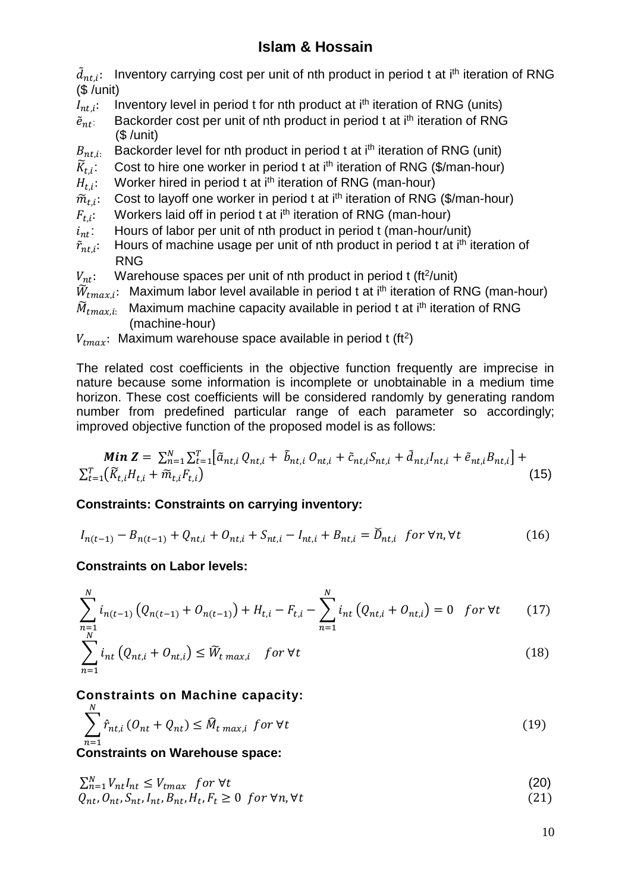$\tilde{d}_{nt,i}$ : Inventory carrying cost per unit of nth product in period t at i<sup>th</sup> iteration of RNG (\$ /unit)

- $I_{nt,i}$ : Inventory level in period t for nth product at  $i<sup>th</sup>$  iteration of RNG (units)
- $\tilde{e}_{nt}$ : Backorder cost per unit of nth product in period t at i<sup>th</sup> iteration of RNG (\$ /unit)
- $B_{nt,i}$ . Backorder level for nth product in period t at i<sup>th</sup> iteration of RNG (unit)
- $\widetilde{K}_{t,i}$ : Cost to hire one worker in period t at i<sup>th</sup> iteration of RNG (\$/man-hour)
- $H_{t,i}$ : Worker hired in period t at i<sup>th</sup> iteration of RNG (man-hour)
- $\widetilde{m}_{t.i}$ : Cost to layoff one worker in period t at i<sup>th</sup> iteration of RNG (\$/man-hour)
- Workers laid off in period t at i<sup>th</sup> iteration of RNG (man-hour)
- $F_{t,i}$ :<br> $i_{nt}$ : : Hours of labor per unit of nth product in period t (man-hour/unit)
- $\tilde{r}_{nt.i}$ : Hours of machine usage per unit of nth product in period t at i<sup>th</sup> iteration of RNG
- $V_{nt}$ : Warehouse spaces per unit of nth product in period t (ft<sup>2</sup>/unit)
- $\widetilde{W}_{tmax,i}$ : Maximum labor level available in period t at i<sup>th</sup> iteration of RNG (man-hour)
- $\widetilde{M}_{tmax,i:}$  Maximum machine capacity available in period t at i<sup>th</sup> iteration of RNG (machine-hour)
- $V_{tmax}$ : Maximum warehouse space available in period t (ft<sup>2</sup>)

The related cost coefficients in the objective function frequently are imprecise in nature because some information is incomplete or unobtainable in a medium time horizon. These cost coefficients will be considered randomly by generating random number from predefined particular range of each parameter so accordingly; improved objective function of the proposed model is as follows:

$$
\mathbf{Min}\,\mathbf{Z} = \sum_{n=1}^{N} \sum_{t=1}^{T} [\tilde{a}_{nt,i}\,Q_{nt,i} + \tilde{b}_{nt,i}\,O_{nt,i} + \tilde{c}_{nt,i}S_{nt,i} + \tilde{d}_{nt,i}I_{nt,i} + \tilde{e}_{nt,i}B_{nt,i}] + \sum_{t=1}^{T} (\widetilde{K}_{t,i}H_{t,i} + \widetilde{m}_{t,i}F_{t,i})
$$
\n(15)

### **Constraints: Constraints on carrying inventory:**

$$
I_{n(t-1)} - B_{n(t-1)} + Q_{nt,i} + O_{nt,i} + S_{nt,i} - I_{nt,i} + B_{nt,i} = \tilde{D}_{nt,i} \text{ for } \forall n, \forall t
$$
 (16)

### **Constraints on Labor levels:**

$$
\sum_{\substack{n=1 \ n \geq 1}}^{N} i_{n(t-1)} \left( Q_{n(t-1)} + O_{n(t-1)} \right) + H_{t,i} - F_{t,i} - \sum_{n=1}^{N} i_{nt} \left( Q_{nt,i} + O_{nt,i} \right) = 0 \quad \text{for } \forall t \tag{17}
$$

$$
\sum_{n=1} i_{nt} \left( Q_{nt,i} + O_{nt,i} \right) \le \widetilde{W}_{t \max,i} \quad \text{for } \forall t \tag{18}
$$

### **Constraints on Machine capacity:**

$$
\sum_{n=1}^{N} \hat{r}_{nt,i} \left( O_{nt} + Q_{nt} \right) \leq \hat{M}_{t \max,i} \text{ for } \forall t
$$
\n
$$
(19)
$$

### **Constraints on Warehouse space:**

 $\sum_{n=1}^{N} V_{nt} I_{nt} \leq V_{tmax}$  for  $\forall t$  (20)  $Q_{nt}, Q_{nt}, S_{nt}, I_{nt}, B_{nt}, H_t, F_t \geq 0 \text{ for } \forall n, \forall t$  (21)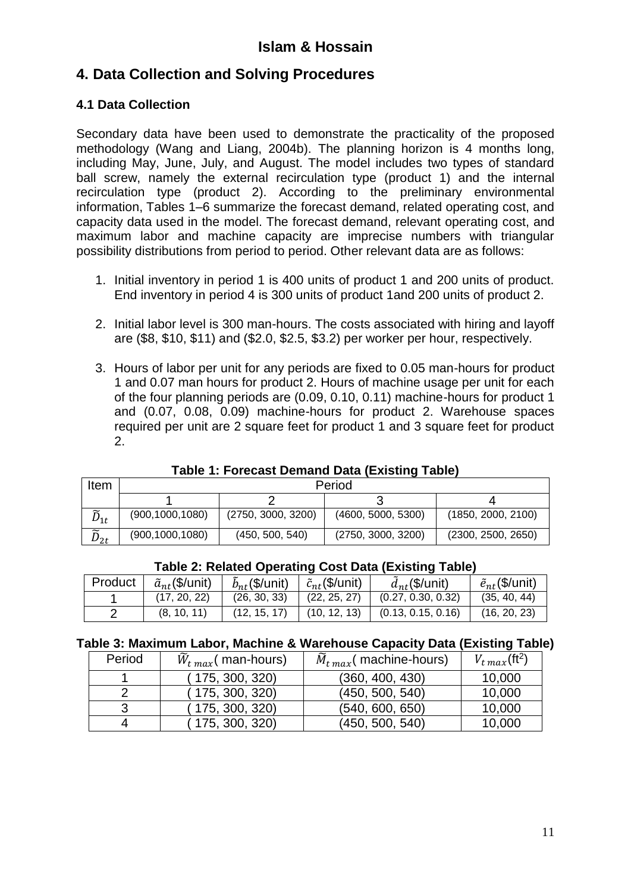## **4. Data Collection and Solving Procedures**

### **4.1 Data Collection**

Secondary data have been used to demonstrate the practicality of the proposed methodology (Wang and Liang, 2004b). The planning horizon is 4 months long, including May, June, July, and August. The model includes two types of standard ball screw, namely the external recirculation type (product 1) and the internal recirculation type (product 2). According to the preliminary environmental information, Tables 1–6 summarize the forecast demand, related operating cost, and capacity data used in the model. The forecast demand, relevant operating cost, and maximum labor and machine capacity are imprecise numbers with triangular possibility distributions from period to period. Other relevant data are as follows:

- 1. Initial inventory in period 1 is 400 units of product 1 and 200 units of product. End inventory in period 4 is 300 units of product 1and 200 units of product 2.
- 2. Initial labor level is 300 man-hours. The costs associated with hiring and layoff are (\$8, \$10, \$11) and (\$2.0, \$2.5, \$3.2) per worker per hour, respectively.
- 3. Hours of labor per unit for any periods are fixed to 0.05 man-hours for product 1 and 0.07 man hours for product 2. Hours of machine usage per unit for each of the four planning periods are (0.09, 0.10, 0.11) machine-hours for product 1 and (0.07, 0.08, 0.09) machine-hours for product 2. Warehouse spaces required per unit are 2 square feet for product 1 and 3 square feet for product 2.

| Item                 | Period            |                    |                    |                    |  |
|----------------------|-------------------|--------------------|--------------------|--------------------|--|
|                      |                   |                    |                    |                    |  |
| $\widetilde{D}_{1t}$ | (900, 1000, 1080) | (2750, 3000, 3200) | (4600, 5000, 5300) | (1850, 2000, 2100) |  |
| $\widetilde{D}_{2t}$ | (900, 1000, 1080) | (450, 500, 540)    | (2750, 3000, 3200) | (2300, 2500, 2650) |  |

**Table 1: Forecast Demand Data (Existing Table)**

| Table 2: Related Operating Cost Data (Existing Table) |                            |                            |                              |                    |                            |
|-------------------------------------------------------|----------------------------|----------------------------|------------------------------|--------------------|----------------------------|
| Product                                               | $\tilde{a}_{nt}$ (\$/unit) | $\tilde{b}_{nt}$ (\$/unit) | $\frac{1}{c_{nt}}$ (\$/unit) | $d_{nt}$ (\$/unit) | $\tilde{e}_{nt}$ (\$/unit) |
|                                                       | (17, 20, 22)               | (26, 30, 33)               | (22, 25, 27)                 | (0.27, 0.30, 0.32) | (35, 40, 44)               |
|                                                       | (8, 10, 11)                | (12, 15, 17)               | (10, 12, 13)                 | (0.13, 0.15, 0.16) | (16, 20, 23)               |

### **Table 2: Related Operating Cost Data (Existing Table)**

#### **Table 3: Maximum Labor, Machine & Warehouse Capacity Data (Existing Table)**

| Period | $\widetilde{W}_{t max}$ (man-hours) | $\tilde{M}_{t max}$ (machine-hours) | $V_{t max}$ (ft <sup>2</sup> ) |
|--------|-------------------------------------|-------------------------------------|--------------------------------|
|        | (175, 300, 320)                     | (360, 400, 430)                     | 10,000                         |
|        | (175, 300, 320)                     | (450, 500, 540)                     | 10,000                         |
|        | (175, 300, 320)                     | (540, 600, 650)                     | 10,000                         |
|        | 175, 300, 320)                      | (450, 500, 540)                     | 10,000                         |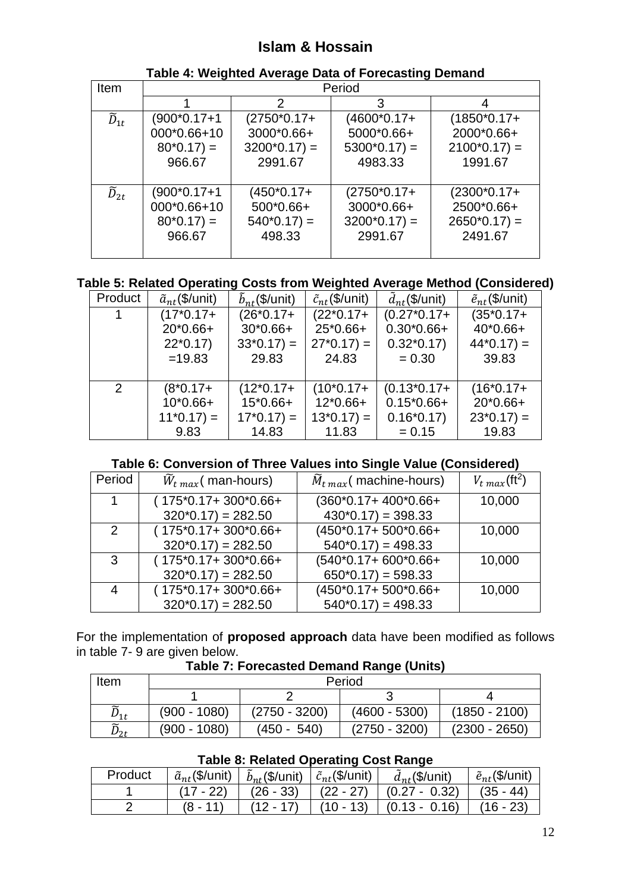| Item                 |                                                     |                                                          | Period                                                  |                                                          |  |
|----------------------|-----------------------------------------------------|----------------------------------------------------------|---------------------------------------------------------|----------------------------------------------------------|--|
|                      |                                                     | 2                                                        | 3                                                       |                                                          |  |
| $\widetilde{D}_{1t}$ | (900*0.17+1<br>000*0.66+10<br>$80*0.17$ =<br>966.67 | $(2750*0.17+)$<br>3000*0.66+<br>$3200*0.17$ =<br>2991.67 | (4600*0.17+<br>5000*0.66+<br>$5300*0.17$ =<br>4983.33   | $(1850*0.17+)$<br>2000*0.66+<br>$2100*0.17$ =<br>1991.67 |  |
| $\widetilde{D}_{2t}$ | (900*0.17+1<br>000*0.66+10<br>$80*0.17$ =<br>966.67 | $(450*0.17+)$<br>500*0.66+<br>$540*0.17$ =<br>498.33     | $(2750*0.17+$<br>3000*0.66+<br>$3200*0.17$ =<br>2991.67 | $(2300*0.17+)$<br>2500*0.66+<br>$2650*0.17$ =<br>2491.67 |  |

#### **Table 4: Weighted Average Data of Forecasting Demand**

### **Table 5: Related Operating Costs from Weighted Average Method (Considered)**

| Product        | $\tilde{a}_{nt}$ (\$/unit) | $\tilde{b}_{nt}$ (\$/unit) | $\tilde{c}_{nt}$ (\$/unit) | $\tilde{d}_{nt}$ (\$/unit) | $\tilde{e}_{nt}$ (\$/unit) |
|----------------|----------------------------|----------------------------|----------------------------|----------------------------|----------------------------|
| 1              | $(17*0.17+)$               | $(26*0.17+)$               | $(22*0.17+)$               | $(0.27*0.17+$              | $(35*0.17+)$               |
|                | $20*0.66+$                 | $30*0.66+$                 | 25*0.66+                   | $0.30*0.66+$               | 40*0.66+                   |
|                | $22*0.17$                  | $33*0.17$ =                | $27*0.17$ =                | $0.32*0.17$                | $44*0.17$ =                |
|                | $=19.83$                   | 29.83                      | 24.83                      | $= 0.30$                   | 39.83                      |
|                |                            |                            |                            |                            |                            |
| $\overline{2}$ | $(8*0.17+)$                | $(12*0.17+)$               | $(10*0.17+)$               | $(0.13*0.17+$              | $(16*0.17+)$               |
|                | $10*0.66+$                 | 15*0.66+                   | $12*0.66+$                 | $0.15*0.66+$               | 20*0.66+                   |
|                | $11*0.17$ =                | $17*0.17$ =                | $13*0.17$ =                | $0.16*0.17$                | $23*0.17$ =                |
|                | 9.83                       | 14.83                      | 11.83                      | $= 0.15$                   | 19.83                      |

### **Table 6: Conversion of Three Values into Single Value (Considered)**

| Period | $\widetilde{W}_{t max}$ man-hours)     | $\tilde{M}_{t max}$ (machine-hours) | $V_{t max}$ (ft <sup>2</sup> ) |
|--------|----------------------------------------|-------------------------------------|--------------------------------|
| 1      | $(175*0.17+300*0.66+$                  | $(360*0.17+400*0.66+)$              | 10,000                         |
|        | $320*0.17$ = 282.50                    | $430*0.17$ = 398.33                 |                                |
| 2      | $(175*0.17+300*0.66+$                  | (450*0.17+500*0.66+                 | 10,000                         |
|        | $320*0.17$ = 282.50                    | $540*0.17$ = 498.33                 |                                |
| 3      | $(175*0.17+300*0.66+$                  | (540*0.17+600*0.66+                 | 10,000                         |
|        | $320*0.17$ = 282.50                    | $650*0.17$ = 598.33                 |                                |
| 4      | $(175^{\circ}0.17 + 300^{\circ}0.66 +$ | (450*0.17+500*0.66+                 | 10,000                         |
|        | $320*0.17 = 282.50$                    | $540*0.17$ = 498.33                 |                                |

For the implementation of **proposed approach** data have been modified as follows in table 7- 9 are given below.

#### **Table 7: Forecasted Demand Range (Units)**

| Item                 | Period         |                 |                 |                 |  |
|----------------------|----------------|-----------------|-----------------|-----------------|--|
|                      |                |                 |                 |                 |  |
| $\widetilde{D}_{1t}$ | $(900 - 1080)$ | $(2750 - 3200)$ | $(4600 - 5300)$ | $(1850 - 2100)$ |  |
| $\widetilde{D}_{2t}$ | $(900 - 1080)$ | $(450 - 540)$   | $(2750 - 3200)$ | $(2300 - 2650)$ |  |

#### **Table 8: Related Operating Cost Range**

| Product | $\tilde{a}_{nt}$ (\$/unit) | $\tilde{b}_{nt}$ (\$/unit) | $\tilde{c}_{nt}$ (\$/unit) | $d_{nt}$ (\$/unit) | $\tilde{e}_{nt}$ (\$/unit) |
|---------|----------------------------|----------------------------|----------------------------|--------------------|----------------------------|
|         | (17 - 22)                  | $(26 - 33)$                | $(22 - 27)$                | $(0.27 - 0.32)$    | $(35 - 44)$                |
|         |                            |                            | $(10 - 13)$                | $(0.13 - 0.16)$    | (16 - 23)                  |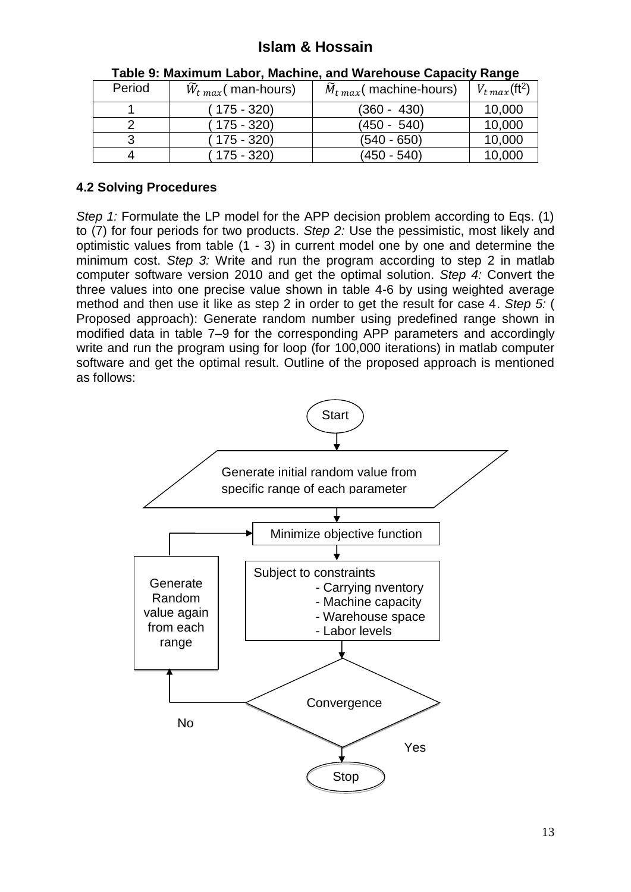| Period | $\widetilde{W}_{t max}$ (man-hours) | $\widetilde{M}_{t max}$ (machine-hours) | $V_{t max}(\text{ft}^2)$ |
|--------|-------------------------------------|-----------------------------------------|--------------------------|
|        | (175 - 320)                         | $(360 - 430)$                           | 10,000                   |
|        | (175 - 320)                         | $(450 - 540)$                           | 10,000                   |
| 3      | $175 - 320$                         | $(540 - 650)$                           | 10,000                   |
|        | $175 - 320$                         | $(450 - 540)$                           | 10,000                   |

| Table 9: Maximum Labor, Machine, and Warehouse Capacity Range |  |
|---------------------------------------------------------------|--|
|---------------------------------------------------------------|--|

### **4.2 Solving Procedures**

*Step 1:* Formulate the LP model for the APP decision problem according to Eqs. (1) to (7) for four periods for two products. *Step 2:* Use the pessimistic, most likely and optimistic values from table (1 - 3) in current model one by one and determine the minimum cost. *Step 3:* Write and run the program according to step 2 in matlab computer software version 2010 and get the optimal solution. *Step 4:* Convert the three values into one precise value shown in table 4-6 by using weighted average method and then use it like as step 2 in order to get the result for case 4. *Step 5:* ( Proposed approach): Generate random number using predefined range shown in modified data in table 7–9 for the corresponding APP parameters and accordingly write and run the program using for loop (for 100,000 iterations) in matlab computer software and get the optimal result. Outline of the proposed approach is mentioned as follows:

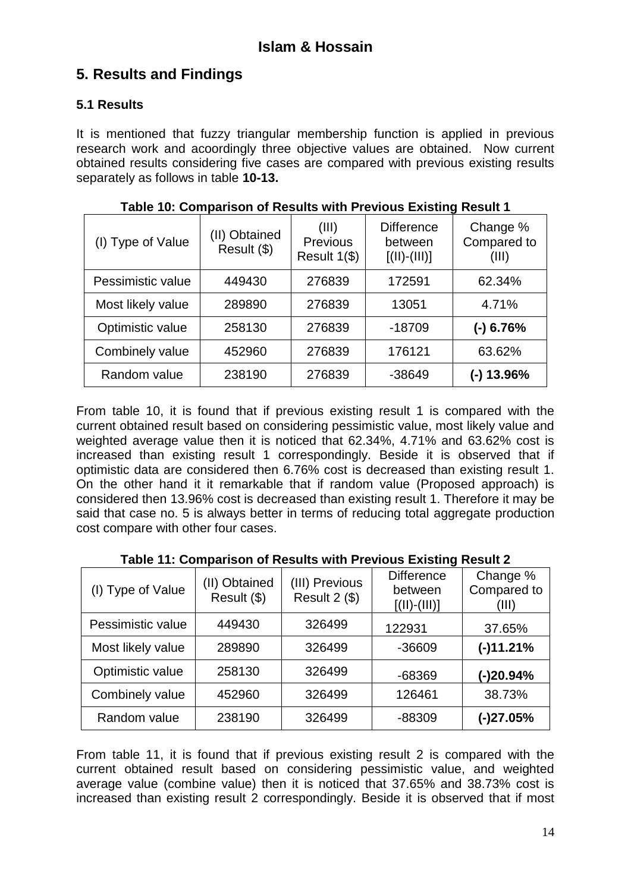## **5. Results and Findings**

### **5.1 Results**

It is mentioned that fuzzy triangular membership function is applied in previous research work and acoordingly three objective values are obtained. Now current obtained results considering five cases are compared with previous existing results separately as follows in table **10-13.**

| (I) Type of Value | (II) Obtained<br>Result (\$) | (III)<br><b>Previous</b><br>Result 1(\$) | <b>Difference</b><br>between<br>$[(  )-(  )]$ | Change %<br>Compared to<br>(III) |
|-------------------|------------------------------|------------------------------------------|-----------------------------------------------|----------------------------------|
| Pessimistic value | 449430                       | 276839                                   | 172591                                        | 62.34%                           |
| Most likely value | 289890                       | 276839                                   | 13051                                         | 4.71%                            |
| Optimistic value  | 258130                       | 276839                                   | $-18709$                                      | $(-)$ 6.76%                      |
| Combinely value   | 452960                       | 276839                                   | 176121                                        | 63.62%                           |
| Random value      | 238190                       | 276839                                   | -38649                                        | (-) 13.96%                       |

**Table 10: Comparison of Results with Previous Existing Result 1**

From table 10, it is found that if previous existing result 1 is compared with the current obtained result based on considering pessimistic value, most likely value and weighted average value then it is noticed that 62.34%, 4.71% and 63.62% cost is increased than existing result 1 correspondingly. Beside it is observed that if optimistic data are considered then 6.76% cost is decreased than existing result 1. On the other hand it it remarkable that if random value (Proposed approach) is considered then 13.96% cost is decreased than existing result 1. Therefore it may be said that case no. 5 is always better in terms of reducing total aggregate production cost compare with other four cases.

| (I) Type of Value | (II) Obtained<br>Result (\$) | (III) Previous<br>Result 2 (\$) | <b>Difference</b><br>between<br>$[(  )-(  .  )]$ | Change %<br>Compared to<br>(III) |
|-------------------|------------------------------|---------------------------------|--------------------------------------------------|----------------------------------|
| Pessimistic value | 449430                       | 326499                          | 122931                                           | 37.65%                           |
| Most likely value | 289890                       | 326499                          | $-36609$                                         | $(-)11.21%$                      |
| Optimistic value  | 258130                       | 326499                          | $-68369$                                         | $(-)20.94%$                      |
| Combinely value   | 452960                       | 326499                          | 126461                                           | 38.73%                           |
| Random value      | 238190                       | 326499                          | -88309                                           | $(-)27.05%$                      |

**Table 11: Comparison of Results with Previous Existing Result 2**

From table 11, it is found that if previous existing result 2 is compared with the current obtained result based on considering pessimistic value, and weighted average value (combine value) then it is noticed that 37.65% and 38.73% cost is increased than existing result 2 correspondingly. Beside it is observed that if most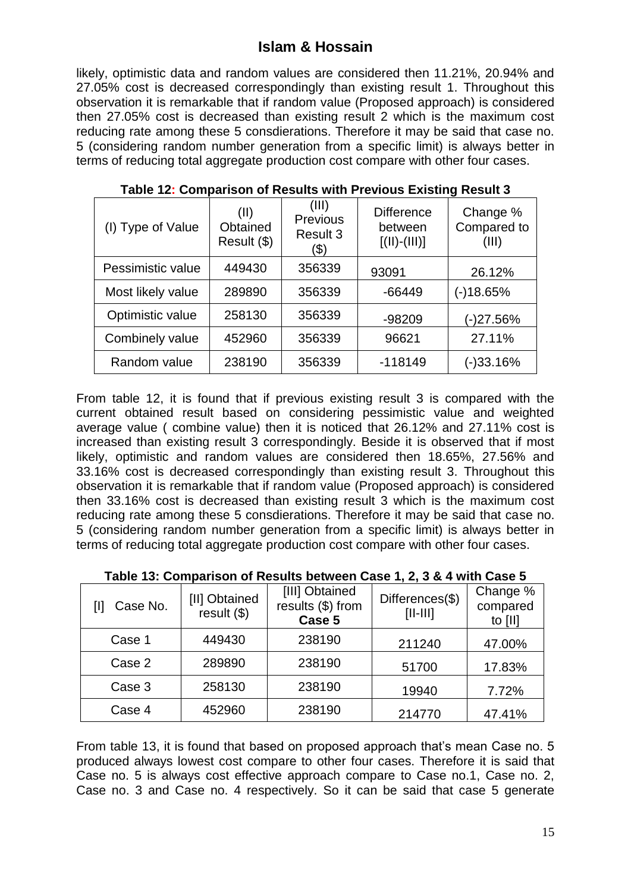likely, optimistic data and random values are considered then 11.21%, 20.94% and 27.05% cost is decreased correspondingly than existing result 1. Throughout this observation it is remarkable that if random value (Proposed approach) is considered then 27.05% cost is decreased than existing result 2 which is the maximum cost reducing rate among these 5 consdierations. Therefore it may be said that case no. 5 (considering random number generation from a specific limit) is always better in terms of reducing total aggregate production cost compare with other four cases.

| (I) Type of Value | (II)<br>Obtained<br>Result (\$) | (III)<br>Previous<br>Result 3<br>(\$) | <b>Difference</b><br>between<br>$[(   )-(   )]$ | Change %<br>Compared to<br>(III) |
|-------------------|---------------------------------|---------------------------------------|-------------------------------------------------|----------------------------------|
| Pessimistic value | 449430                          | 356339                                | 93091                                           | 26.12%                           |
| Most likely value | 289890                          | 356339                                | -66449                                          | (-)18.65%                        |
| Optimistic value  | 258130                          | 356339                                | $-98209$                                        | (-)27.56%                        |
| Combinely value   | 452960                          | 356339                                | 96621                                           | 27.11%                           |
| Random value      | 238190                          | 356339                                | $-118149$                                       | (-)33.16%                        |

**Table 12: Comparison of Results with Previous Existing Result 3**

From table 12, it is found that if previous existing result 3 is compared with the current obtained result based on considering pessimistic value and weighted average value ( combine value) then it is noticed that 26.12% and 27.11% cost is increased than existing result 3 correspondingly. Beside it is observed that if most likely, optimistic and random values are considered then 18.65%, 27.56% and 33.16% cost is decreased correspondingly than existing result 3. Throughout this observation it is remarkable that if random value (Proposed approach) is considered then 33.16% cost is decreased than existing result 3 which is the maximum cost reducing rate among these 5 consdierations. Therefore it may be said that case no. 5 (considering random number generation from a specific limit) is always better in terms of reducing total aggregate production cost compare with other four cases.

| Case No. | [II] Obtained<br>result(\$) | [III] Obtained<br>results (\$) from<br>Case 5 | Differences(\$)<br>$[  -   ]$ | Change %<br>compared<br>to [II] |
|----------|-----------------------------|-----------------------------------------------|-------------------------------|---------------------------------|
| Case 1   | 449430                      | 238190                                        | 211240                        | 47.00%                          |
| Case 2   | 289890                      | 238190                                        | 51700                         | 17.83%                          |
| Case 3   | 258130                      | 238190                                        | 19940                         | 7.72%                           |
| Case 4   | 452960                      | 238190                                        | 214770                        | 47.41%                          |

From table 13, it is found that based on proposed approach that's mean Case no. 5 produced always lowest cost compare to other four cases. Therefore it is said that Case no. 5 is always cost effective approach compare to Case no.1, Case no. 2, Case no. 3 and Case no. 4 respectively. So it can be said that case 5 generate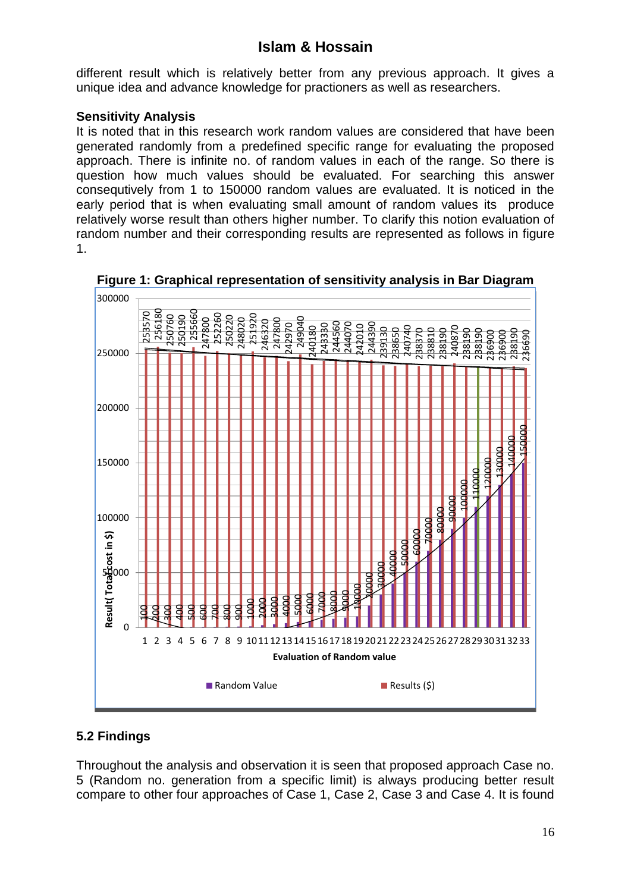different result which is relatively better from any previous approach. It gives a unique idea and advance knowledge for practioners as well as researchers.

### **Sensitivity Analysis**

It is noted that in this research work random values are considered that have been generated randomly from a predefined specific range for evaluating the proposed approach. There is infinite no. of random values in each of the range. So there is question how much values should be evaluated. For searching this answer consequtively from 1 to 150000 random values are evaluated. It is noticed in the early period that is when evaluating small amount of random values its produce relatively worse result than others higher number. To clarify this notion evaluation of random number and their corresponding results are represented as follows in figure 1.



**Figure 1: Graphical representation of sensitivity analysis in Bar Diagram**

### **5.2 Findings**

Throughout the analysis and observation it is seen that proposed approach Case no. 5 (Random no. generation from a specific limit) is always producing better result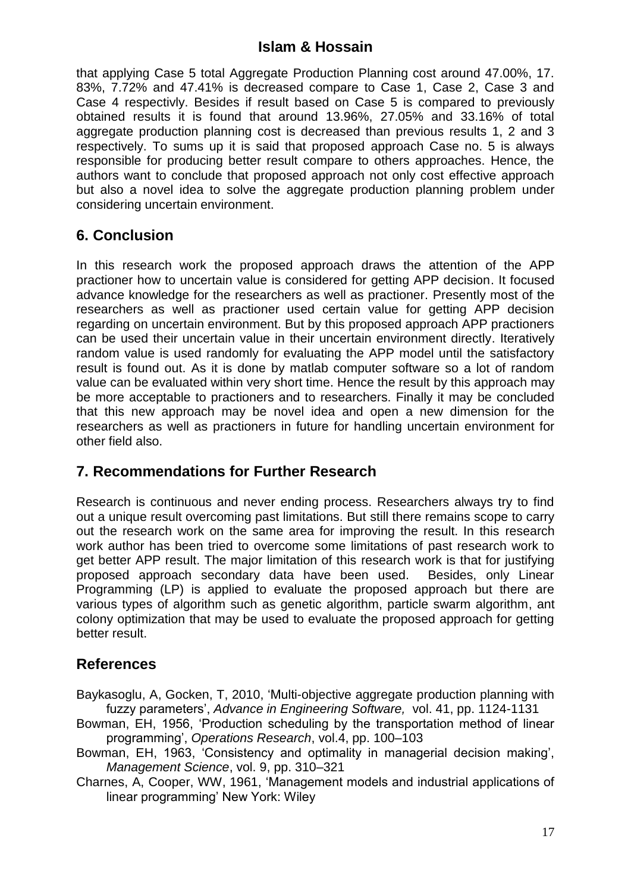that applying Case 5 total Aggregate Production Planning cost around 47.00%, 17. 83%, 7.72% and 47.41% is decreased compare to Case 1, Case 2, Case 3 and Case 4 respectivly. Besides if result based on Case 5 is compared to previously obtained results it is found that around 13.96%, 27.05% and 33.16% of total aggregate production planning cost is decreased than previous results 1, 2 and 3 respectively. To sums up it is said that proposed approach Case no. 5 is always responsible for producing better result compare to others approaches. Hence, the authors want to conclude that proposed approach not only cost effective approach but also a novel idea to solve the aggregate production planning problem under considering uncertain environment.

## **6. Conclusion**

In this research work the proposed approach draws the attention of the APP practioner how to uncertain value is considered for getting APP decision. It focused advance knowledge for the researchers as well as practioner. Presently most of the researchers as well as practioner used certain value for getting APP decision regarding on uncertain environment. But by this proposed approach APP practioners can be used their uncertain value in their uncertain environment directly. Iteratively random value is used randomly for evaluating the APP model until the satisfactory result is found out. As it is done by matlab computer software so a lot of random value can be evaluated within very short time. Hence the result by this approach may be more acceptable to practioners and to researchers. Finally it may be concluded that this new approach may be novel idea and open a new dimension for the researchers as well as practioners in future for handling uncertain environment for other field also.

## **7. Recommendations for Further Research**

Research is continuous and never ending process. Researchers always try to find out a unique result overcoming past limitations. But still there remains scope to carry out the research work on the same area for improving the result. In this research work author has been tried to overcome some limitations of past research work to get better APP result. The major limitation of this research work is that for justifying proposed approach secondary data have been used. Besides, only Linear Programming (LP) is applied to evaluate the proposed approach but there are various types of algorithm such as genetic algorithm, particle swarm algorithm, ant colony optimization that may be used to evaluate the proposed approach for getting better result.

### **References**

Baykasoglu, A, Gocken, T, 2010, 'Multi-objective aggregate production planning with fuzzy parameters', *Advance in Engineering Software,* vol. 41, pp. 1124-1131

Bowman, EH, 1956, 'Production scheduling by the transportation method of linear programming', *Operations Research*, vol.4, pp. 100–103

Bowman, EH, 1963, 'Consistency and optimality in managerial decision making', *Management Science*, vol. 9, pp. 310–321

Charnes, A, Cooper, WW, 1961, 'Management models and industrial applications of linear programming' New York: Wiley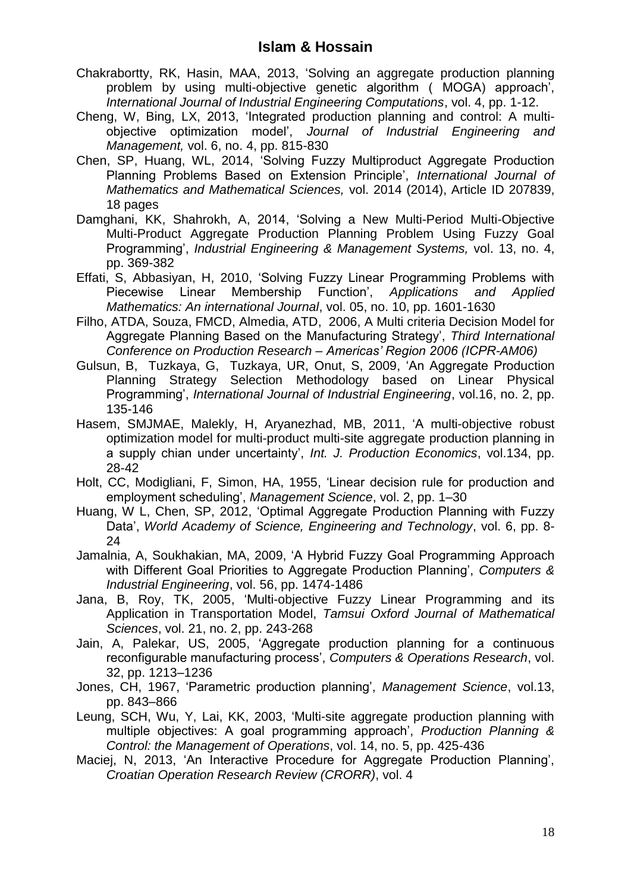- Chakrabortty, RK, Hasin, MAA, 2013, 'Solving an aggregate production planning problem by using multi-objective genetic algorithm ( MOGA) approach', *International Journal of Industrial Engineering Computations*, vol. 4, pp. 1-12.
- Cheng, W, Bing, LX, 2013, 'Integrated production planning and control: A multiobjective optimization model', *Journal of Industrial Engineering and Management,* vol. 6, no. 4, pp. 815-830
- Chen, SP, Huang, WL, 2014, 'Solving Fuzzy Multiproduct Aggregate Production Planning Problems Based on Extension Principle', *International Journal of Mathematics and Mathematical Sciences,* vol. 2014 (2014), Article ID 207839, 18 pages
- Damghani, KK, Shahrokh, A, 2014, 'Solving a New Multi-Period Multi-Objective Multi-Product Aggregate Production Planning Problem Using Fuzzy Goal Programming', *Industrial Engineering & Management Systems,* vol. 13, no. 4, pp. 369-382
- Effati, S, Abbasiyan, H, 2010, 'Solving Fuzzy Linear Programming Problems with Piecewise Linear Membership Function', *Applications and Applied Mathematics: An international Journal*, vol. 05, no. 10, pp. 1601-1630
- Filho, ATDA, Souza, FMCD, Almedia, ATD, 2006, A Multi criteria Decision Model for Aggregate Planning Based on the Manufacturing Strategy', *Third International Conference on Production Research – Americas' Region 2006 (ICPR-AM06)*
- Gulsun, B, Tuzkaya, G, Tuzkaya, UR, Onut, S, 2009, 'An Aggregate Production Planning Strategy Selection Methodology based on Linear Physical Programming', *International Journal of Industrial Engineering*, vol.16, no. 2, pp. 135-146
- Hasem, SMJMAE, Malekly, H, Aryanezhad, MB, 2011, 'A multi-objective robust optimization model for multi-product multi-site aggregate production planning in a supply chian under uncertainty', *Int. J. Production Economics*, vol.134, pp. 28-42
- Holt, CC, Modigliani, F, Simon, HA, 1955, 'Linear decision rule for production and employment scheduling', *Management Science*, vol. 2, pp. 1–30
- Huang, W L, Chen, SP, 2012, 'Optimal Aggregate Production Planning with Fuzzy Data', *World Academy of Science, Engineering and Technology*, vol. 6, pp. 8- 24
- Jamalnia, A, Soukhakian, MA, 2009, 'A Hybrid Fuzzy Goal Programming Approach with Different Goal Priorities to Aggregate Production Planning', *Computers & Industrial Engineering*, vol. 56, pp. 1474-1486
- Jana, B, Roy, TK, 2005, 'Multi-objective Fuzzy Linear Programming and its Application in Transportation Model, *Tamsui Oxford Journal of Mathematical Sciences*, vol. 21, no. 2, pp. 243-268
- Jain, A, Palekar, US, 2005, 'Aggregate production planning for a continuous reconfigurable manufacturing process', *Computers & Operations Research*, vol. 32, pp. 1213–1236
- Jones, CH, 1967, 'Parametric production planning', *Management Science*, vol.13, pp. 843–866
- Leung, SCH, Wu, Y, Lai, KK, 2003, 'Multi-site aggregate production planning with multiple objectives: A goal programming approach', *Production Planning & Control: the Management of Operations*, vol. 14, no. 5, pp. 425-436
- Maciej, N, 2013, 'An Interactive Procedure for Aggregate Production Planning', *Croatian Operation Research Review (CRORR)*, vol. 4